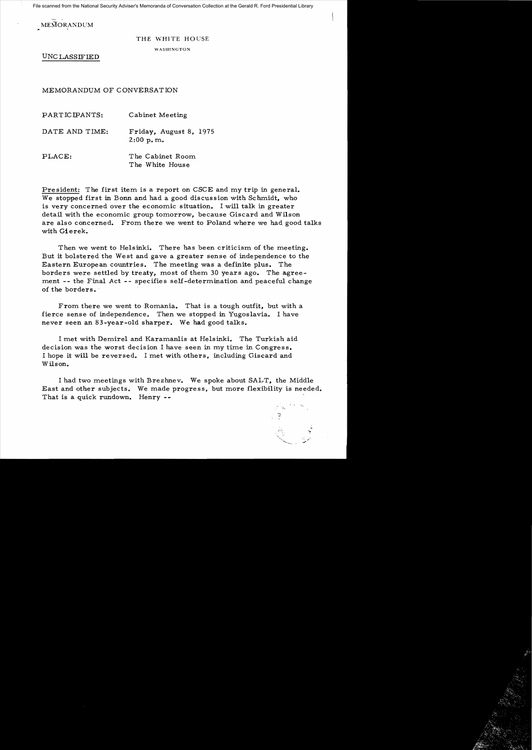File scanned from the National Security Adviser's Memoranda of Conversation Collection at the Gerald R. Ford Presidential Library

**MEMORANDUM** 

## THE WHITE HOUSE

WASHINGTON

UNC LASSIFIED

MEMORANDUM OF CONVERSATION

PARTICIPANTS: Cabinet Meeting DATE AND TIME: Friday, August 8, 1975 2:00 p.m.. PLACE: The Cabinet Room. The White House

President: The first item is a report on CSCE and my trip in general. We stopped first in Bonn and had a good discussion with Schmidt, who is very concerned over the economic situation. I will talk in greater detail with the economic group tomorrow, because Giscard and Wilson are also concerned. From there we went to Poland where we had good talks with Gierek.

Then we went to Helsinki. There has been criticism of the meeting. But it bolstered the West and gave a greater sense of independence to the Eastern European countries. The meeting was a definite plus. The borders were settled by treaty, most of them 30 years ago. The agreement -- the Final Act -- specifies self-determination and peaceful change of the borders.

From there we went to Romania. That is a tough outfit, but with a fierce sense of independence. Then we stopped in Yugoslavia. I have never seen an 83-year-old sharper. We had good talks.

I met with Demirel and Karamanlis at Helsinki. The Turkish aid decision was the worst decision I have seen in my time in Congress. I hope it will be reversed. I met with others, including Giscard and Wilson.

I had two meetings with Brezhnev. We spoke about SALT, the Middle East and other subjects. We made progress, but more flexibility is needed. That is a quick rundown. Henry --

*•* ,\_r~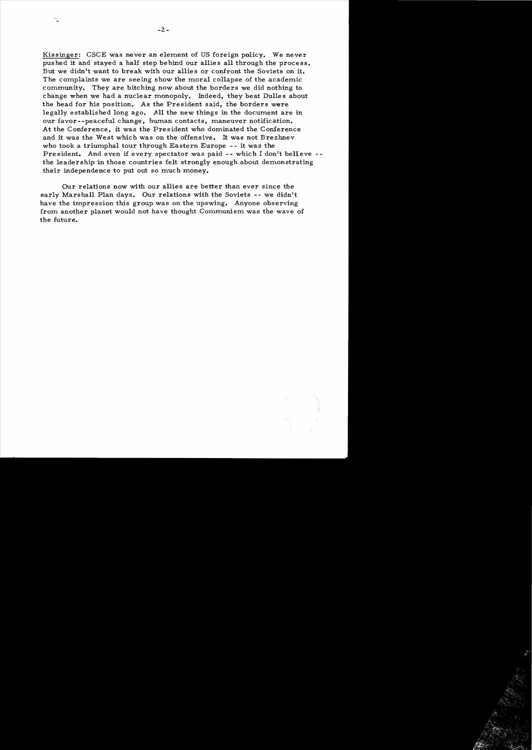Kissinger: CSCE was never an element of US foreign policy. We never pushed it and stayed a half step behind our allies all through the process. But we didn't want to break with our allies or confront the Soviets on it. The complaints we are seeing show the moral collapse of the academic community. They are bitching now about the borders we did nothing to change when we had a nuclear monopoly. Indeed, they beat Dulles about the head for his position. As the President said, the borders were legally established long ago. All the new things in the document are in our favor--peaceful change, human contacts, maneuver notification. At the Conference, it was the President who dominated the Conference and it was the West which was on the offensive. It was not Brezhnev who took a triumphal tour through Eastern Europe - - it was the President. And even if every spectator was paid -- which I don't believe -the leadership in those countries felt strongly enough about demonstrating their independence to put out so much money.

Our relations now with our allies are better than ever since the early Marshall Plan days. Our relations with the Soviets -- we didn't have the impression this group was on the upswing. Anyone observing from another planet would not have thought Communism was the wave of the future.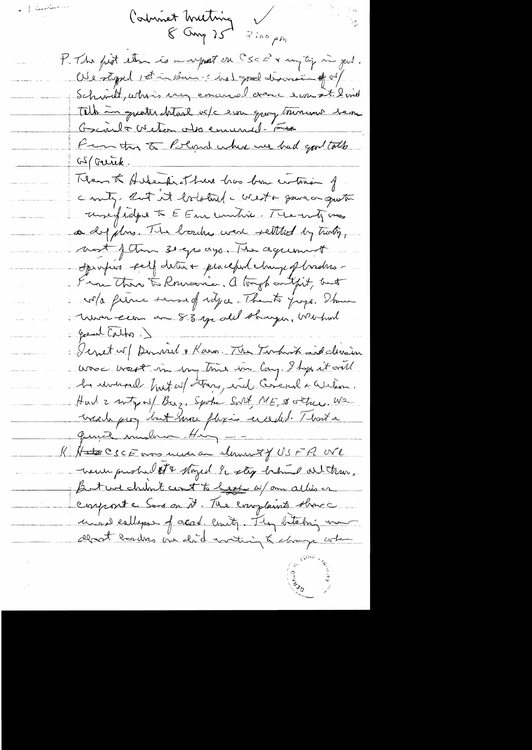تأخير <sub>معن</sub>ى []<br>-Corbinet Wieting  $8000725250 \mu m$ t The figt than is a report on CSC 2x my tig in jud. We styped 1st in Ban : hat good discours of of Schwitt, whis very enanced donc ever it 2 mil Tell in greater heteril vote ever quey tournant bem Garnet Victor observad-Fra From this to Polind where we had good tothe <u>GS (Gurik,</u> Them to Hireche of here has been certain of county. But it bolotured a create gave on question unefidad to E Emericantie Themoty me as depitos. The boules were settled by trady, wort of them seeps ago. The agreement oprofiso seit deter e procepel change of broders. From There to Romania, a tough onlight, but cola ferme sund delja. The to jugo. There Mondagen an 83 yeard sharger, Weshout  $\label{eq:3} \mathcal{L} = \left\{ \begin{aligned} \text{where } \mathcal{L} \text{ is the } \mathcal{L}^{\text{c}} \text{,} \end{aligned} \right.$ great Catho.) Denet of Donnel & Rara. The Terminat ind chasin was wast in my think in long. I hope it will A reversel but of the paid Creat earlier. Hur 2 without Buz. Spoke Sort ME & setre We viale prog but mon physis enceded. That a quince mushim Hin --K Hate CSCE was under a slavait of USFR We wenn pushed st & stayed he step her alterno. But we chilin to cont to heart as form as this or conporte Sons on it. The complaints show i unant callepse of acad. County. They betaling mom deat bardens au chil northing & change when